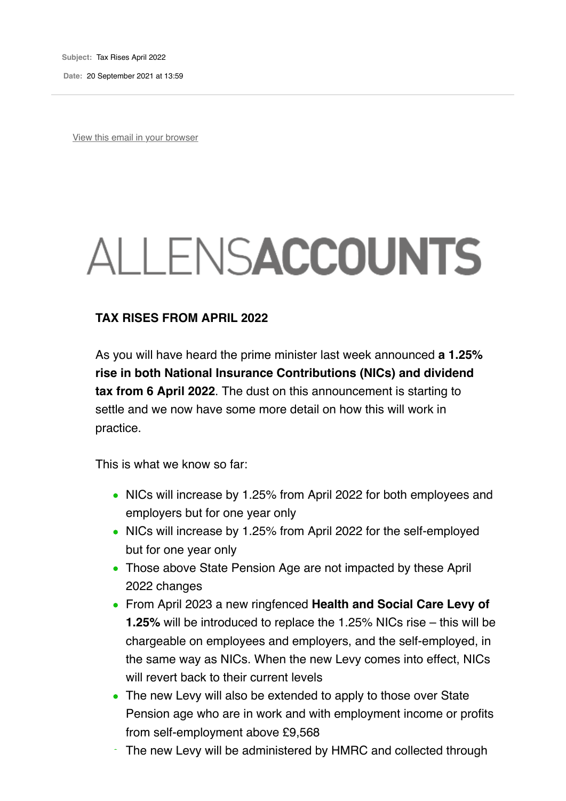**Subject:** Tax Rises April 2022

**Date:** 20 September 2021 at 13:59

View this email in your browser

# ALLENSACCOUNTS

#### **TAX RISES FROM APRIL 2022**

As you will have heard the prime minister last week announced **a 1.25% rise in both National Insurance Contributions (NICs) and dividend tax from 6 April 2022**. The dust on this announcement is starting to settle and we now have some more detail on how this will work in practice.

This is what we know so far:

- NICs will increase by 1.25% from April 2022 for both employees and employers but for one year only
- NICs will increase by 1.25% from April 2022 for the self-employed but for one year only
- Those above State Pension Age are not impacted by these April 2022 changes
- From April 2023 a new ringfenced **Health and Social Care Levy of 1.25%** will be introduced to replace the 1.25% NICs rise – this will be chargeable on employees and employers, and the self-employed, in the same way as NICs. When the new Levy comes into effect, NICs will revert back to their current levels
- The new Levy will also be extended to apply to those over State Pension age who are in work and with employment income or profits from self-employment above £9,568
- The new Levy will be administered by HMRC and collected through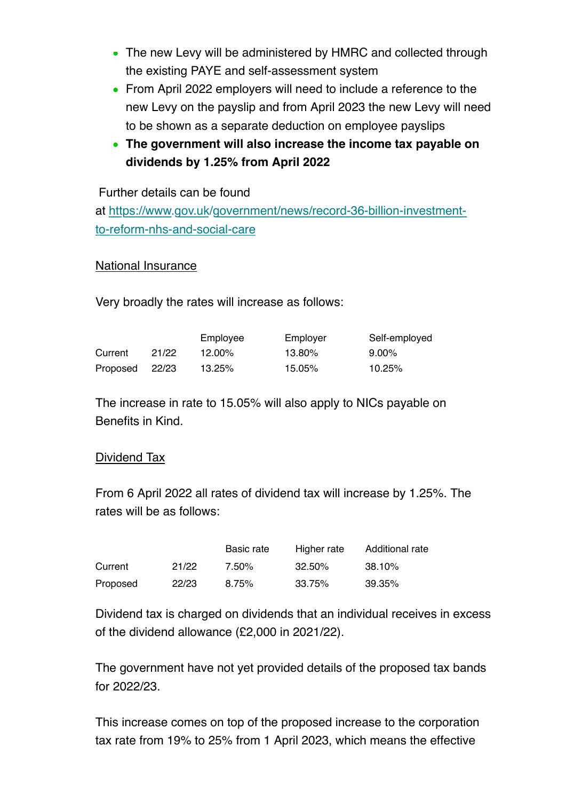- The new Levy will be administered by HMRC and collected through the existing PAYE and self-assessment system
- From April 2022 employers will need to include a reference to the new Levy on the payslip and from April 2023 the new Levy will need to be shown as a separate deduction on employee payslips
- **The government will also increase the income tax payable on dividends by 1.25% from April 2022**

Further details can be found

at https://www.gov.uk/government/news/record-36-billion-investmentto-reform-nhs-and-social-care

## National Insurance

Very broadly the rates will increase as follows:

|          |       | Employee  | Employer | Self-employed |
|----------|-------|-----------|----------|---------------|
| Current  | 21/22 | $12.00\%$ | 13.80%   | $9.00\%$      |
| Proposed | 22/23 | 13.25%    | 15.05%   | 10.25%        |

The increase in rate to 15.05% will also apply to NICs payable on Benefits in Kind.

## Dividend Tax

From 6 April 2022 all rates of dividend tax will increase by 1.25%. The rates will be as follows:

|          |       | Basic rate | Higher rate | Additional rate |
|----------|-------|------------|-------------|-----------------|
| Current  | 21/22 | 7.50%      | 32.50%      | 38.10%          |
| Proposed | 22/23 | 8.75%      | 33.75%      | 39.35%          |

Dividend tax is charged on dividends that an individual receives in excess of the dividend allowance (£2,000 in 2021/22).

The government have not yet provided details of the proposed tax bands for 2022/23.

This increase comes on top of the proposed increase to the corporation tax rate from 19% to 25% from 1 April 2023, which means the effective